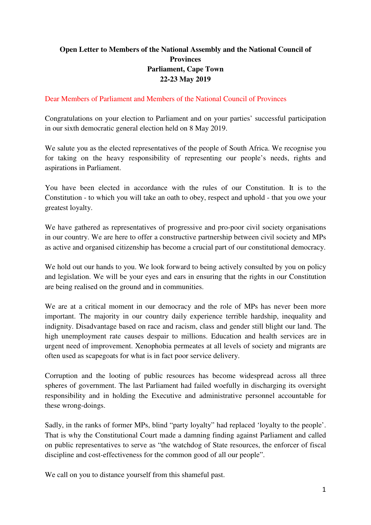## **Open Letter to Members of the National Assembly and the National Council of Provinces Parliament, Cape Town 22-23 May 2019**

## Dear Members of Parliament and Members of the National Council of Provinces

Congratulations on your election to Parliament and on your parties' successful participation in our sixth democratic general election held on 8 May 2019.

We salute you as the elected representatives of the people of South Africa. We recognise you for taking on the heavy responsibility of representing our people's needs, rights and aspirations in Parliament.

You have been elected in accordance with the rules of our Constitution. It is to the Constitution - to which you will take an oath to obey, respect and uphold - that you owe your greatest loyalty.

We have gathered as representatives of progressive and pro-poor civil society organisations in our country. We are here to offer a constructive partnership between civil society and MPs as active and organised citizenship has become a crucial part of our constitutional democracy.

We hold out our hands to you. We look forward to being actively consulted by you on policy and legislation. We will be your eyes and ears in ensuring that the rights in our Constitution are being realised on the ground and in communities.

We are at a critical moment in our democracy and the role of MPs has never been more important. The majority in our country daily experience terrible hardship, inequality and indignity. Disadvantage based on race and racism, class and gender still blight our land. The high unemployment rate causes despair to millions. Education and health services are in urgent need of improvement. Xenophobia permeates at all levels of society and migrants are often used as scapegoats for what is in fact poor service delivery.

Corruption and the looting of public resources has become widespread across all three spheres of government. The last Parliament had failed woefully in discharging its oversight responsibility and in holding the Executive and administrative personnel accountable for these wrong-doings.

Sadly, in the ranks of former MPs, blind "party loyalty" had replaced 'loyalty to the people'. That is why the Constitutional Court made a damning finding against Parliament and called on public representatives to serve as "the watchdog of State resources, the enforcer of fiscal discipline and cost-effectiveness for the common good of all our people".

We call on you to distance yourself from this shameful past.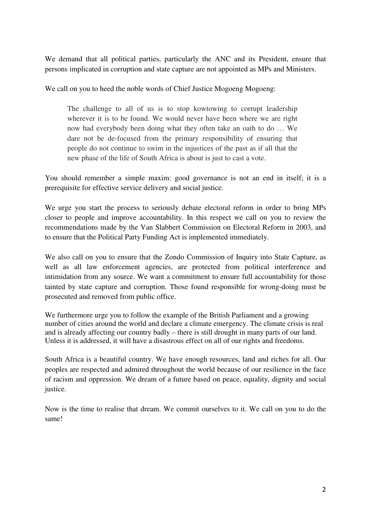We demand that all political parties, particularly the ANC and its President, ensure that persons implicated in corruption and state capture are not appointed as MPs and Ministers.

We call on you to heed the noble words of Chief Justice Mogoeng Mogoeng:

The challenge to all of us is to stop kowtowing to corrupt leadership wherever it is to be found. We would never have been where we are right now had everybody been doing what they often take an oath to do … We dare not be de-focused from the primary responsibility of ensuring that people do not continue to swim in the injustices of the past as if all that the new phase of the life of South Africa is about is just to cast a vote.

You should remember a simple maxim: good governance is not an end in itself; it is a prerequisite for effective service delivery and social justice.

We urge you start the process to seriously debate electoral reform in order to bring MPs closer to people and improve accountability. In this respect we call on you to review the recommendations made by the Van Slabbert Commission on Electoral Reform in 2003, and to ensure that the Political Party Funding Act is implemented immediately.

We also call on you to ensure that the Zondo Commission of Inquiry into State Capture, as well as all law enforcement agencies, are protected from political interference and intimidation from any source. We want a commitment to ensure full accountability for those tainted by state capture and corruption. Those found responsible for wrong-doing must be prosecuted and removed from public office.

We furthermore urge you to follow the example of the British Parliament and a growing number of cities around the world and declare a climate emergency. The climate crisis is real and is already affecting our country badly – there is still drought in many parts of our land. Unless it is addressed, it will have a disastrous effect on all of our rights and freedoms.

South Africa is a beautiful country. We have enough resources, land and riches for all. Our peoples are respected and admired throughout the world because of our resilience in the face of racism and oppression. We dream of a future based on peace, equality, dignity and social justice.

Now is the time to realise that dream. We commit ourselves to it. We call on you to do the same!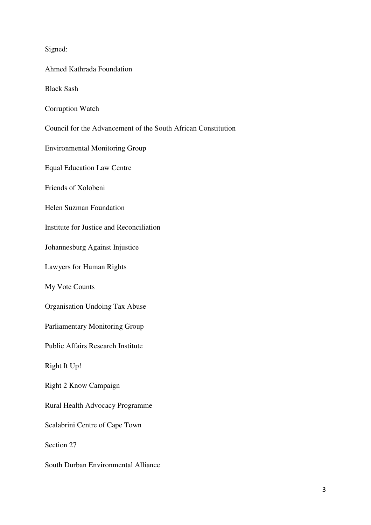Signed:

Ahmed Kathrada Foundation

Black Sash

- Corruption Watch
- Council for the Advancement of the South African Constitution

Environmental Monitoring Group

Equal Education Law Centre

Friends of Xolobeni

Helen Suzman Foundation

Institute for Justice and Reconciliation

Johannesburg Against Injustice

Lawyers for Human Rights

My Vote Counts

Organisation Undoing Tax Abuse

Parliamentary Monitoring Group

Public Affairs Research Institute

Right It Up!

Right 2 Know Campaign

Rural Health Advocacy Programme

Scalabrini Centre of Cape Town

Section 27

South Durban Environmental Alliance